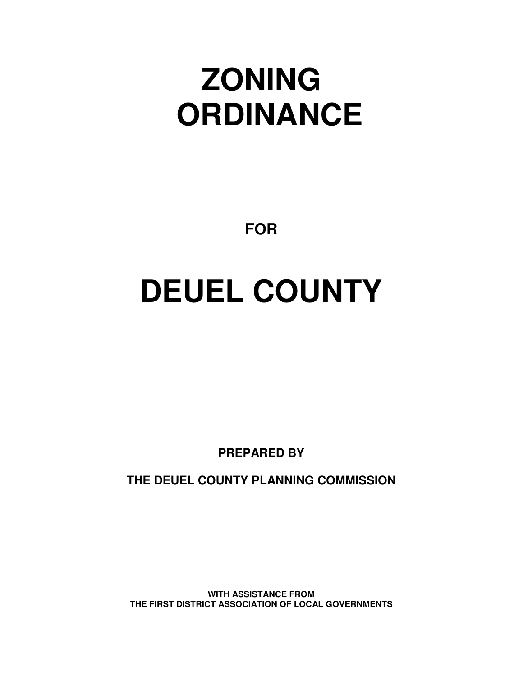## **ZONING ORDINANCE**

**FOR**

# **DEUEL COUNTY**

**PREPARED BY**

**THE DEUEL COUNTY PLANNING COMMISSION**

**WITH ASSISTANCE FROM THE FIRST DISTRICT ASSOCIATION OF LOCAL GOVERNMENTS**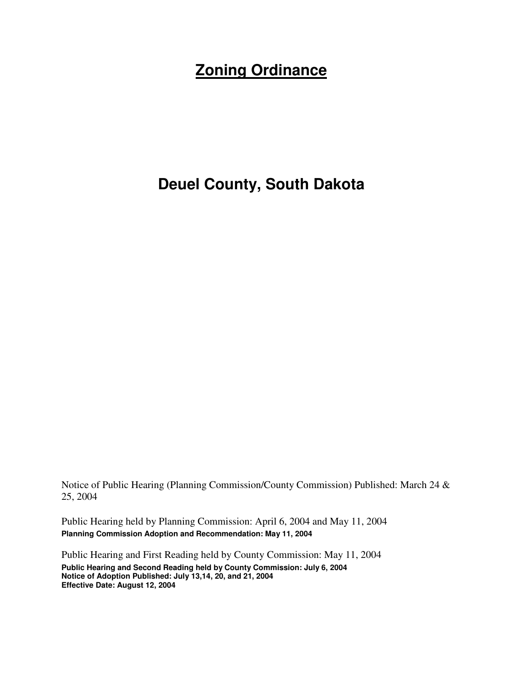### **Zoning Ordinance**

#### **Deuel County, South Dakota**

Notice of Public Hearing (Planning Commission/County Commission) Published: March 24 & 25, 2004

Public Hearing held by Planning Commission: April 6, 2004 and May 11, 2004 **Planning Commission Adoption and Recommendation: May 11, 2004**

Public Hearing and First Reading held by County Commission: May 11, 2004 **Public Hearing and Second Reading held by County Commission: July 6, 2004 Notice of Adoption Published: July 13,14, 20, and 21, 2004 Effective Date: August 12, 2004**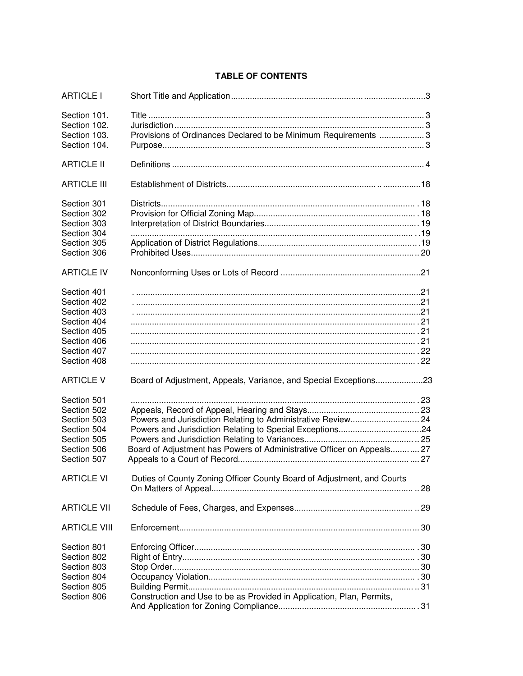#### **TABLE OF CONTENTS**

| <b>ARTICLE I</b>                                                                                                     |                                                                        |  |
|----------------------------------------------------------------------------------------------------------------------|------------------------------------------------------------------------|--|
| Section 101.<br>Section 102.<br>Section 103.<br>Section 104.                                                         | Provisions of Ordinances Declared to be Minimum Requirements 3         |  |
| <b>ARTICLE II</b>                                                                                                    |                                                                        |  |
| <b>ARTICLE III</b>                                                                                                   |                                                                        |  |
| Section 301<br>Section 302<br>Section 303<br>Section 304<br>Section 305<br>Section 306                               |                                                                        |  |
| <b>ARTICLE IV</b>                                                                                                    |                                                                        |  |
| Section 401<br>Section 402<br>Section 403<br>Section 404<br>Section 405<br>Section 406<br>Section 407<br>Section 408 |                                                                        |  |
| <b>ARTICLE V</b>                                                                                                     | Board of Adjustment, Appeals, Variance, and Special Exceptions23       |  |
| Section 501<br>Section 502<br>Section 503<br>Section 504<br>Section 505<br>Section 506<br>Section 507                | Board of Adjustment has Powers of Administrative Officer on Appeals 27 |  |
| <b>ARTICLE VI</b>                                                                                                    | Duties of County Zoning Officer County Board of Adjustment, and Courts |  |
| <b>ARTICLE VII</b>                                                                                                   |                                                                        |  |
| <b>ARTICLE VIII</b>                                                                                                  |                                                                        |  |
| Section 801<br>Section 802<br>Section 803<br>Section 804<br>Section 805<br>Section 806                               | Construction and Use to be as Provided in Application, Plan, Permits,  |  |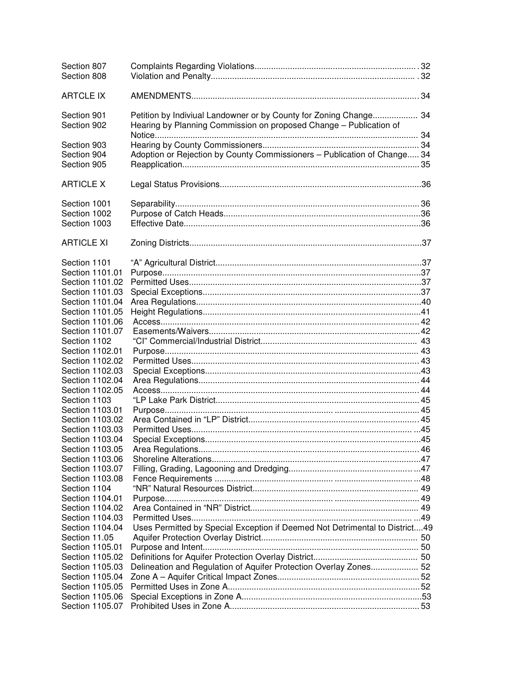| Section 807<br>Section 808      |                                                                                                                                         |  |
|---------------------------------|-----------------------------------------------------------------------------------------------------------------------------------------|--|
| <b>ARTCLE IX</b>                |                                                                                                                                         |  |
| Section 901<br>Section 902      | Petition by Indiviual Landowner or by County for Zoning Change 34<br>Hearing by Planning Commission on proposed Change - Publication of |  |
| Section 903                     |                                                                                                                                         |  |
| Section 904                     | Adoption or Rejection by County Commissioners - Publication of Change 34                                                                |  |
| Section 905                     |                                                                                                                                         |  |
| <b>ARTICLE X</b>                |                                                                                                                                         |  |
| Section 1001                    |                                                                                                                                         |  |
| Section 1002                    |                                                                                                                                         |  |
| Section 1003                    |                                                                                                                                         |  |
| <b>ARTICLE XI</b>               |                                                                                                                                         |  |
| Section 1101                    |                                                                                                                                         |  |
| Section 1101.01                 |                                                                                                                                         |  |
| Section 1101.02                 |                                                                                                                                         |  |
| Section 1101.03                 |                                                                                                                                         |  |
| Section 1101.04                 |                                                                                                                                         |  |
| Section 1101.05                 |                                                                                                                                         |  |
| Section 1101.06                 |                                                                                                                                         |  |
| Section 1101.07                 |                                                                                                                                         |  |
| Section 1102                    |                                                                                                                                         |  |
| Section 1102.01                 |                                                                                                                                         |  |
| Section 1102.02                 |                                                                                                                                         |  |
| Section 1102.03                 |                                                                                                                                         |  |
| Section 1102.04                 |                                                                                                                                         |  |
| Section 1102.05                 |                                                                                                                                         |  |
| Section 1103                    |                                                                                                                                         |  |
| Section 1103.01                 |                                                                                                                                         |  |
| Section 1103.02                 |                                                                                                                                         |  |
| Section 1103.03                 |                                                                                                                                         |  |
| Section 1103.04                 |                                                                                                                                         |  |
| Section 1103.05                 |                                                                                                                                         |  |
| Section 1103.06                 |                                                                                                                                         |  |
| Section 1103.07                 |                                                                                                                                         |  |
| Section 1103.08                 |                                                                                                                                         |  |
| Section 1104<br>Section 1104.01 |                                                                                                                                         |  |
| Section 1104.02                 |                                                                                                                                         |  |
| Section 1104.03                 |                                                                                                                                         |  |
| Section 1104.04                 | Uses Permitted by Special Exception if Deemed Not Detrimental to District49                                                             |  |
| Section 11.05                   |                                                                                                                                         |  |
| Section 1105.01                 |                                                                                                                                         |  |
| Section 1105.02                 |                                                                                                                                         |  |
| Section 1105.03                 | Delineation and Regulation of Aquifer Protection Overlay Zones 52                                                                       |  |
| Section 1105.04                 |                                                                                                                                         |  |
| Section 1105.05                 |                                                                                                                                         |  |
| Section 1105.06                 |                                                                                                                                         |  |
| Section 1105.07                 |                                                                                                                                         |  |